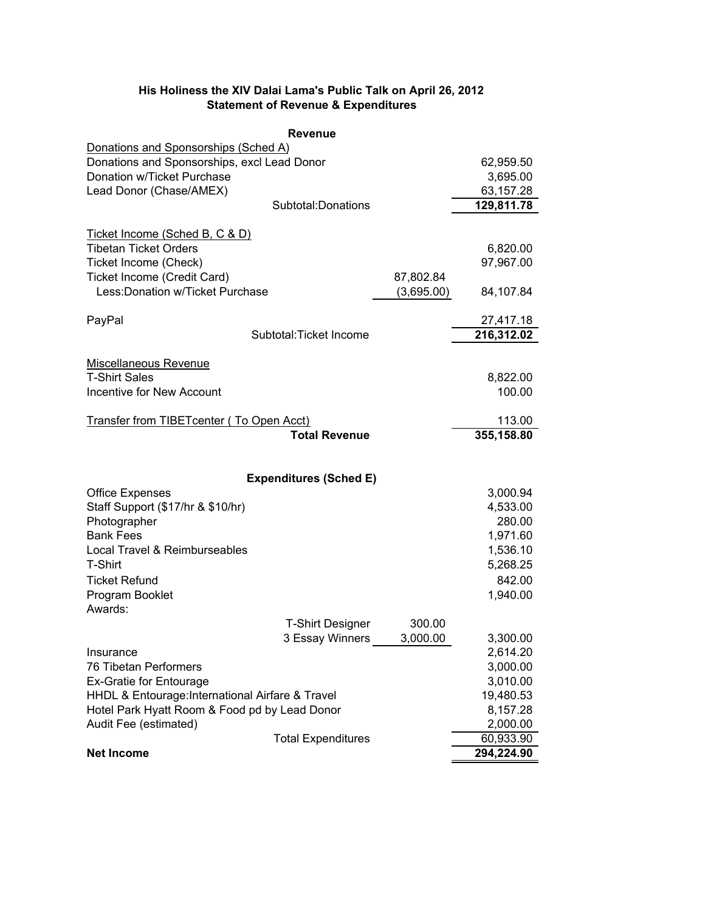| <b>Revenue</b>                                           |            |                      |
|----------------------------------------------------------|------------|----------------------|
| Donations and Sponsorships (Sched A)                     |            |                      |
| Donations and Sponsorships, excl Lead Donor              |            | 62,959.50            |
| Donation w/Ticket Purchase                               |            | 3,695.00             |
| Lead Donor (Chase/AMEX)                                  |            | 63,157.28            |
| Subtotal: Donations                                      |            | 129,811.78           |
| Ticket Income (Sched B, C & D)                           |            |                      |
| <b>Tibetan Ticket Orders</b>                             |            | 6,820.00             |
| Ticket Income (Check)                                    |            | 97,967.00            |
| Ticket Income (Credit Card)                              | 87,802.84  |                      |
| Less: Donation w/Ticket Purchase                         | (3,695.00) | 84,107.84            |
|                                                          |            |                      |
| PayPal                                                   |            | 27,417.18            |
| Subtotal: Ticket Income                                  |            | 216,312.02           |
|                                                          |            |                      |
| Miscellaneous Revenue                                    |            |                      |
| <b>T-Shirt Sales</b><br><b>Incentive for New Account</b> |            | 8,822.00<br>100.00   |
|                                                          |            |                      |
| Transfer from TIBETcenter (To Open Acct)                 |            | 113.00               |
| <b>Total Revenue</b>                                     |            | 355,158.80           |
|                                                          |            |                      |
|                                                          |            |                      |
| <b>Expenditures (Sched E)</b>                            |            |                      |
| <b>Office Expenses</b>                                   |            | 3,000.94             |
| Staff Support (\$17/hr & \$10/hr)                        |            | 4,533.00             |
| Photographer<br><b>Bank Fees</b>                         |            | 280.00               |
|                                                          |            | 1,971.60             |
| Local Travel & Reimburseables<br>T-Shirt                 |            | 1,536.10<br>5,268.25 |
| <b>Ticket Refund</b>                                     |            | 842.00               |
| Program Booklet                                          |            | 1,940.00             |
| Awards:                                                  |            |                      |
| <b>T-Shirt Designer</b>                                  | 300.00     |                      |
| 3 Essay Winners                                          | 3,000.00   | 3,300.00             |
| Insurance                                                |            | 2,614.20             |
| 76 Tibetan Performers                                    |            | 3,000.00             |
| <b>Ex-Gratie for Entourage</b>                           |            | 3,010.00             |
| HHDL & Entourage: International Airfare & Travel         | 19,480.53  |                      |
| Hotel Park Hyatt Room & Food pd by Lead Donor            | 8,157.28   |                      |
| Audit Fee (estimated)                                    | 2,000.00   |                      |
| <b>Total Expenditures</b>                                |            | 60,933.90            |
| <b>Net Income</b>                                        |            | 294,224.90           |

### **His Holiness the XIV Dalai Lama's Public Talk on April 26, 2012 Statement of Revenue & Expenditures**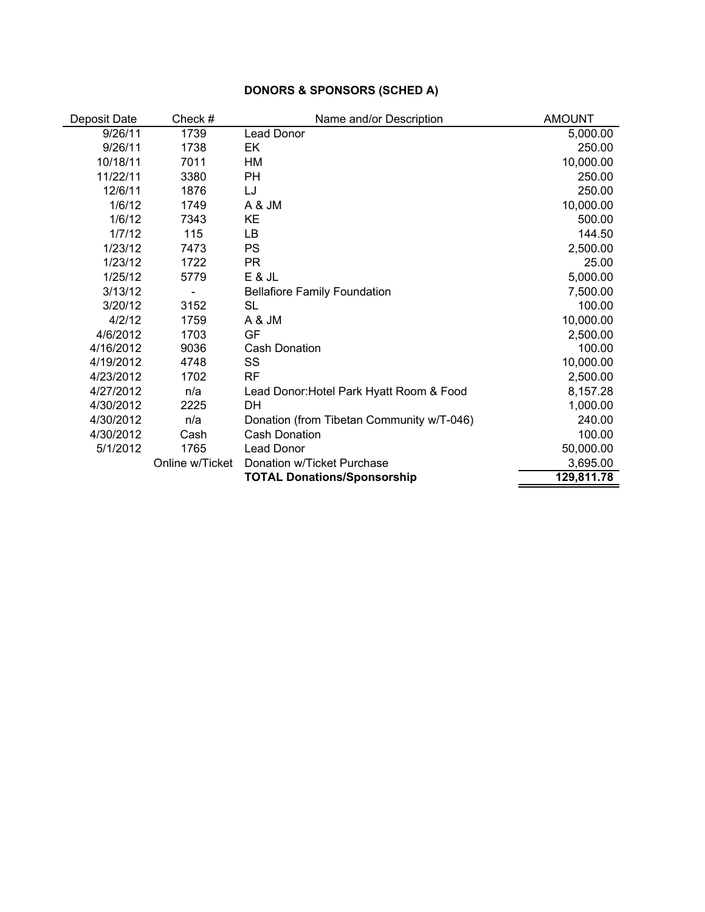## **DONORS & SPONSORS (SCHED A)**

| Deposit Date | Check #         | Name and/or Description                   | <b>AMOUNT</b> |
|--------------|-----------------|-------------------------------------------|---------------|
| 9/26/11      | 1739            | Lead Donor                                | 5,000.00      |
| 9/26/11      | 1738            | EK.                                       | 250.00        |
| 10/18/11     | 7011            | НM                                        | 10,000.00     |
| 11/22/11     | 3380            | PH                                        | 250.00        |
| 12/6/11      | 1876            | LJ                                        | 250.00        |
| 1/6/12       | 1749            | A & JM                                    | 10,000.00     |
| 1/6/12       | 7343            | KE                                        | 500.00        |
| 1/7/12       | 115             | LB                                        | 144.50        |
| 1/23/12      | 7473            | <b>PS</b>                                 | 2,500.00      |
| 1/23/12      | 1722            | <b>PR</b>                                 | 25.00         |
| 1/25/12      | 5779            | E & JL                                    | 5,000.00      |
| 3/13/12      |                 | <b>Bellafiore Family Foundation</b>       | 7,500.00      |
| 3/20/12      | 3152            | <b>SL</b>                                 | 100.00        |
| 4/2/12       | 1759            | A & JM                                    | 10,000.00     |
| 4/6/2012     | 1703            | GF                                        | 2,500.00      |
| 4/16/2012    | 9036            | <b>Cash Donation</b>                      | 100.00        |
| 4/19/2012    | 4748            | SS                                        | 10,000.00     |
| 4/23/2012    | 1702            | <b>RF</b>                                 | 2,500.00      |
| 4/27/2012    | n/a             | Lead Donor: Hotel Park Hyatt Room & Food  | 8,157.28      |
| 4/30/2012    | 2225            | DН                                        | 1,000.00      |
| 4/30/2012    | n/a             | Donation (from Tibetan Community w/T-046) | 240.00        |
| 4/30/2012    | Cash            | <b>Cash Donation</b>                      | 100.00        |
| 5/1/2012     | 1765            | Lead Donor                                | 50,000.00     |
|              | Online w/Ticket | Donation w/Ticket Purchase                | 3,695.00      |
|              |                 | <b>TOTAL Donations/Sponsorship</b>        | 129,811.78    |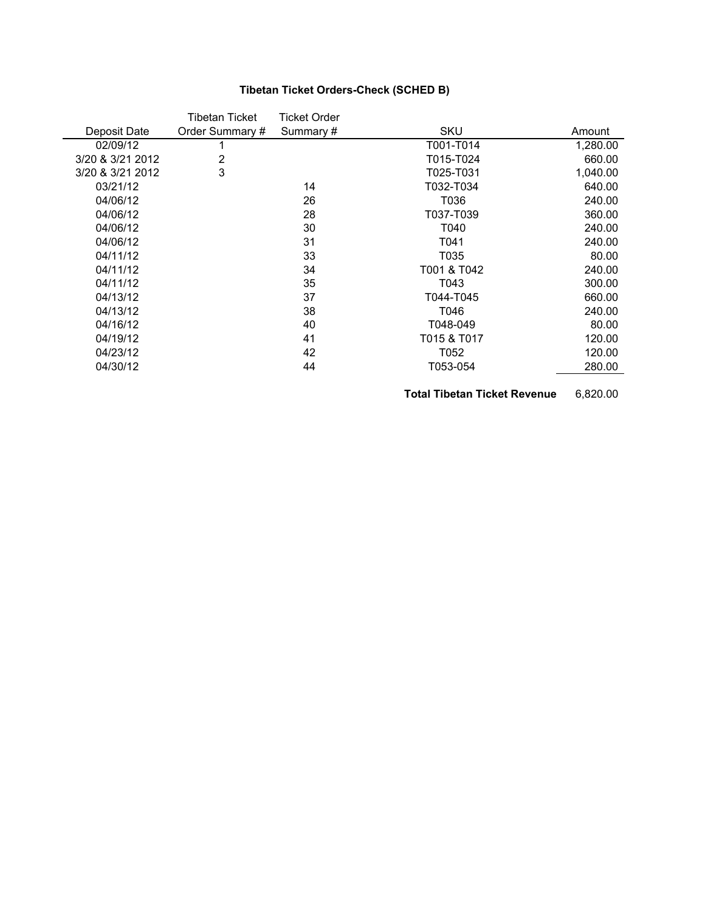# **Tibetan Ticket Orders-Check (SCHED B)**

|                  | Tibetan Ticket  | Ticket Order |             |          |
|------------------|-----------------|--------------|-------------|----------|
| Deposit Date     | Order Summary # | Summary#     | SKU         | Amount   |
| 02/09/12         |                 |              | T001-T014   | 1,280.00 |
| 3/20 & 3/21 2012 | $\overline{2}$  |              | T015-T024   | 660.00   |
| 3/20 & 3/21 2012 | 3               |              | T025-T031   | 1,040.00 |
| 03/21/12         |                 | 14           | T032-T034   | 640.00   |
| 04/06/12         |                 | 26           | T036        | 240.00   |
| 04/06/12         |                 | 28           | T037-T039   | 360.00   |
| 04/06/12         |                 | 30           | T040        | 240.00   |
| 04/06/12         |                 | 31           | T041        | 240.00   |
| 04/11/12         |                 | 33           | T035        | 80.00    |
| 04/11/12         |                 | 34           | T001 & T042 | 240.00   |
| 04/11/12         |                 | 35           | T043        | 300.00   |
| 04/13/12         |                 | 37           | T044-T045   | 660.00   |
| 04/13/12         |                 | 38           | T046        | 240.00   |
| 04/16/12         |                 | 40           | T048-049    | 80.00    |
| 04/19/12         |                 | 41           | T015 & T017 | 120.00   |
| 04/23/12         |                 | 42           | T052        | 120.00   |
| 04/30/12         |                 | 44           | T053-054    | 280.00   |
|                  |                 |              |             |          |

**Total Tibetan Ticket Revenue** 6,820.00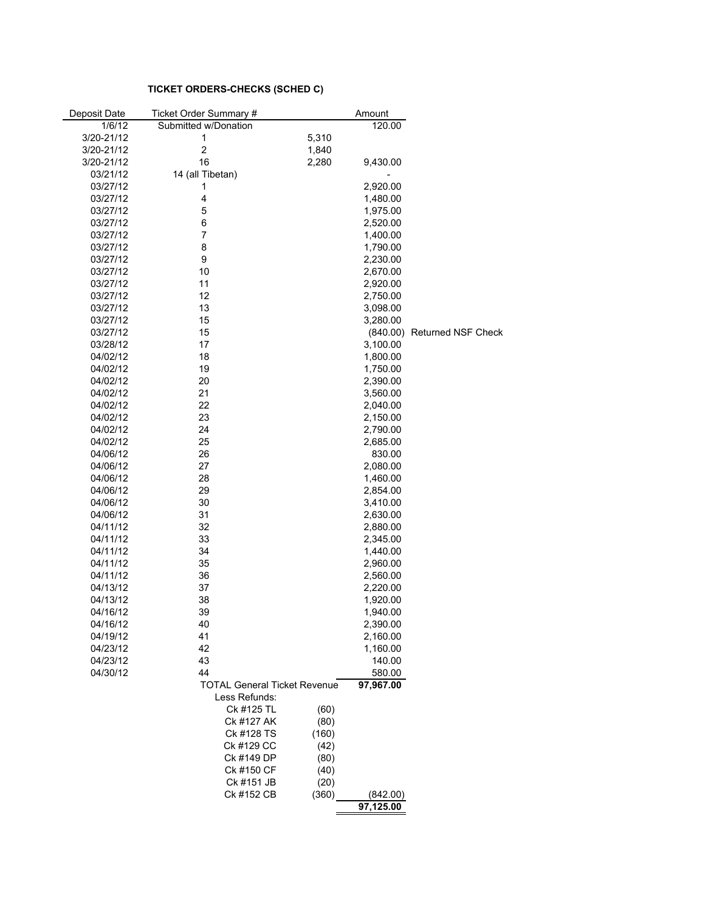#### **TICKET ORDERS-CHECKS (SCHED C)**

| Deposit Date | Ticket Order Summary # |                                     | Amount    |                             |
|--------------|------------------------|-------------------------------------|-----------|-----------------------------|
| 1/6/12       | Submitted w/Donation   |                                     | 120.00    |                             |
| 3/20-21/12   | 1                      | 5,310                               |           |                             |
| 3/20-21/12   | $\overline{c}$         | 1,840                               |           |                             |
| 3/20-21/12   | 16                     | 2,280                               | 9,430.00  |                             |
| 03/21/12     | 14 (all Tibetan)       |                                     |           |                             |
| 03/27/12     | 1                      |                                     | 2,920.00  |                             |
| 03/27/12     | $\overline{4}$         |                                     | 1,480.00  |                             |
| 03/27/12     | 5                      |                                     | 1,975.00  |                             |
| 03/27/12     | 6                      |                                     | 2,520.00  |                             |
| 03/27/12     | 7                      |                                     | 1,400.00  |                             |
| 03/27/12     | 8                      |                                     |           |                             |
| 03/27/12     | 9                      |                                     | 1,790.00  |                             |
|              |                        |                                     | 2,230.00  |                             |
| 03/27/12     | 10                     |                                     | 2,670.00  |                             |
| 03/27/12     | 11                     |                                     | 2,920.00  |                             |
| 03/27/12     | 12                     |                                     | 2,750.00  |                             |
| 03/27/12     | 13                     |                                     | 3,098.00  |                             |
| 03/27/12     | 15                     |                                     | 3,280.00  |                             |
| 03/27/12     | 15                     |                                     |           | (840.00) Returned NSF Check |
| 03/28/12     | 17                     |                                     | 3,100.00  |                             |
| 04/02/12     | 18                     |                                     | 1,800.00  |                             |
| 04/02/12     | 19                     |                                     | 1,750.00  |                             |
| 04/02/12     | 20                     |                                     | 2,390.00  |                             |
| 04/02/12     | 21                     |                                     | 3,560.00  |                             |
| 04/02/12     | 22                     |                                     | 2,040.00  |                             |
| 04/02/12     | 23                     |                                     | 2,150.00  |                             |
| 04/02/12     | 24                     |                                     | 2,790.00  |                             |
| 04/02/12     | 25                     |                                     | 2,685.00  |                             |
| 04/06/12     | 26                     |                                     | 830.00    |                             |
| 04/06/12     | 27                     |                                     | 2,080.00  |                             |
| 04/06/12     | 28                     |                                     | 1,460.00  |                             |
| 04/06/12     | 29                     |                                     | 2,854.00  |                             |
| 04/06/12     | 30                     |                                     | 3,410.00  |                             |
| 04/06/12     | 31                     |                                     | 2,630.00  |                             |
| 04/11/12     | 32                     |                                     | 2,880.00  |                             |
| 04/11/12     | 33                     |                                     | 2,345.00  |                             |
| 04/11/12     | 34                     |                                     | 1,440.00  |                             |
| 04/11/12     | 35                     |                                     | 2,960.00  |                             |
| 04/11/12     | 36                     |                                     | 2,560.00  |                             |
| 04/13/12     | 37                     |                                     | 2,220.00  |                             |
| 04/13/12     | 38                     |                                     | 1,920.00  |                             |
| 04/16/12     | 39                     |                                     | 1,940.00  |                             |
| 04/16/12     | 40                     |                                     | 2,390.00  |                             |
| 04/19/12     | 41                     |                                     | 2,160.00  |                             |
| 04/23/12     | 42                     |                                     | 1,160.00  |                             |
| 04/23/12     | 43                     |                                     | 140.00    |                             |
| 04/30/12     | 44                     |                                     | 580.00    |                             |
|              |                        | <b>TOTAL General Ticket Revenue</b> | 97,967.00 |                             |
|              | Less Refunds:          |                                     |           |                             |
|              | Ck #125 TL             |                                     |           |                             |
|              |                        | (60)                                |           |                             |
|              | Ck #127 AK             | (80)                                |           |                             |
|              | Ck #128 TS             | (160)                               |           |                             |
|              | Ck #129 CC             | (42)                                |           |                             |
|              | Ck #149 DP             | (80)                                |           |                             |
|              | Ck #150 CF             | (40)                                |           |                             |
|              | Ck #151 JB             | (20)                                |           |                             |
|              | Ck #152 CB             | (360)                               | (842.00)  |                             |
|              |                        |                                     | 97,125.00 |                             |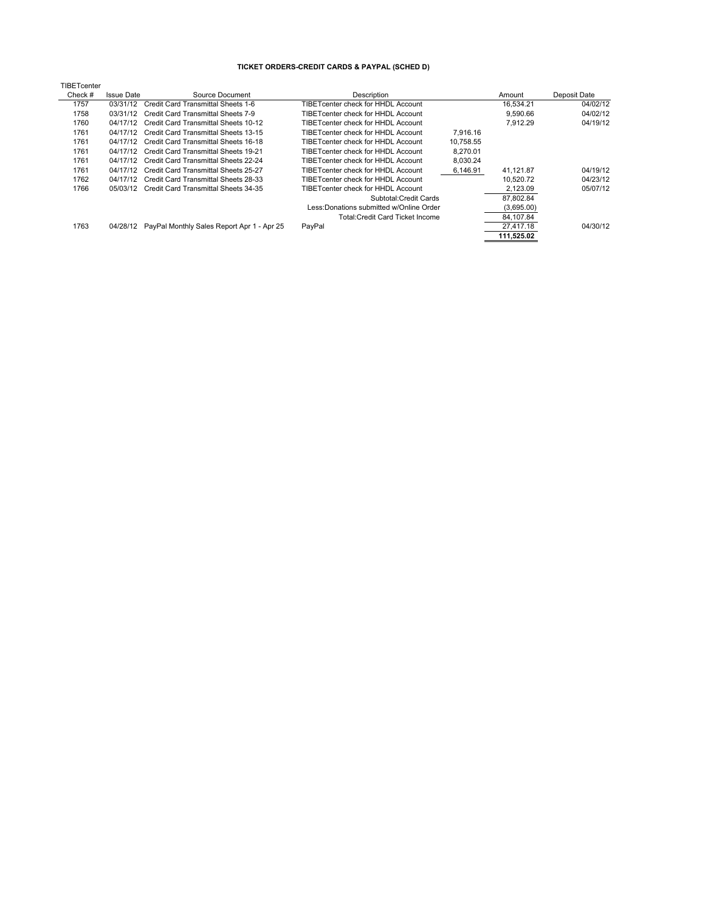#### **TICKET ORDERS-CREDIT CARDS & PAYPAL (SCHED D)**

| TIBETcenter |                   |                                            |                                          |           |            |              |
|-------------|-------------------|--------------------------------------------|------------------------------------------|-----------|------------|--------------|
| Check #     | <b>Issue Date</b> | Source Document                            | Description                              |           | Amount     | Deposit Date |
| 1757        | 03/31/12          | Credit Card Transmittal Sheets 1-6         | TIBETcenter check for HHDL Account       |           | 16.534.21  | 04/02/12     |
| 1758        | 03/31/12          | Credit Card Transmittal Sheets 7-9         | TIBETcenter check for HHDL Account       |           | 9.590.66   | 04/02/12     |
| 1760        | 04/17/12          | Credit Card Transmittal Sheets 10-12       | TIBETcenter check for HHDL Account       |           | 7.912.29   | 04/19/12     |
| 1761        | 04/17/12          | Credit Card Transmittal Sheets 13-15       | TIBETcenter check for HHDL Account       | 7.916.16  |            |              |
| 1761        | 04/17/12          | Credit Card Transmittal Sheets 16-18       | TIBETcenter check for HHDL Account       | 10.758.55 |            |              |
| 1761        | 04/17/12          | Credit Card Transmittal Sheets 19-21       | TIBETcenter check for HHDL Account       | 8.270.01  |            |              |
| 1761        | 04/17/12          | Credit Card Transmittal Sheets 22-24       | TIBETcenter check for HHDL Account       | 8,030.24  |            |              |
| 1761        | 04/17/12          | Credit Card Transmittal Sheets 25-27       | TIBETcenter check for HHDL Account       | 6,146.91  | 41,121.87  | 04/19/12     |
| 1762        | 04/17/12          | Credit Card Transmittal Sheets 28-33       | TIBETcenter check for HHDL Account       |           | 10.520.72  | 04/23/12     |
| 1766        | 05/03/12          | Credit Card Transmittal Sheets 34-35       | TIBETcenter check for HHDL Account       |           | 2.123.09   | 05/07/12     |
|             |                   |                                            | Subtotal: Credit Cards                   |           | 87.802.84  |              |
|             |                   |                                            | Less: Donations submitted w/Online Order |           | (3,695.00) |              |
|             |                   |                                            | Total: Credit Card Ticket Income         |           | 84,107.84  |              |
| 1763        | 04/28/12          | PayPal Monthly Sales Report Apr 1 - Apr 25 | PayPal                                   |           | 27.417.18  | 04/30/12     |
|             |                   |                                            |                                          |           | 111,525.02 |              |
|             |                   |                                            |                                          |           |            |              |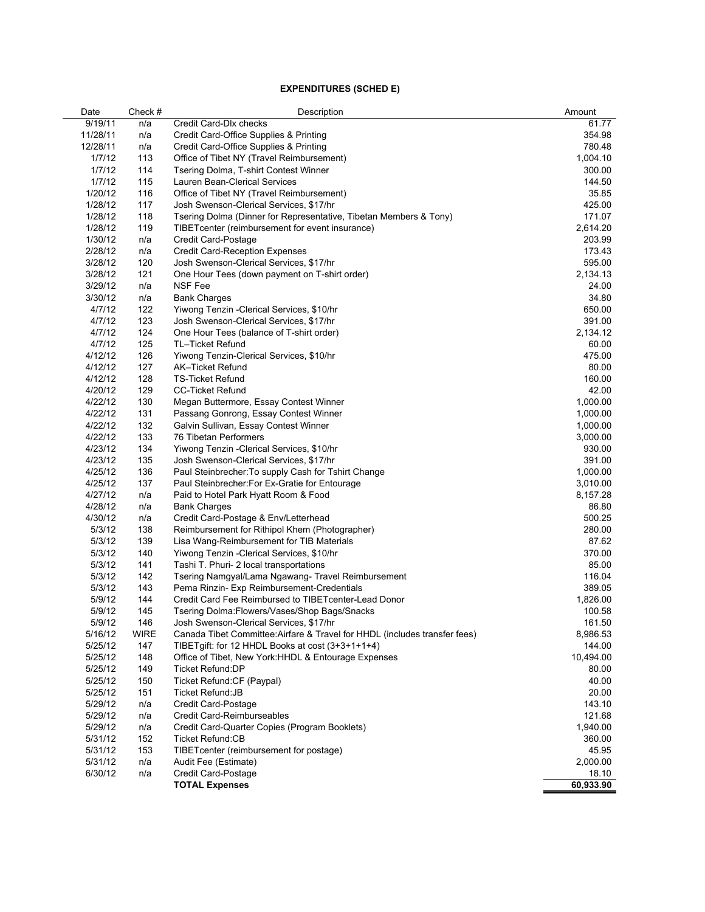#### **EXPENDITURES (SCHED E)**

| Date     | Check#      | Description                                                                | Amount    |
|----------|-------------|----------------------------------------------------------------------------|-----------|
| 9/19/11  | n/a         | Credit Card-Dlx checks                                                     | 61.77     |
| 11/28/11 | n/a         | Credit Card-Office Supplies & Printing                                     | 354.98    |
| 12/28/11 | n/a         | Credit Card-Office Supplies & Printing                                     | 780.48    |
| 1/7/12   | 113         | Office of Tibet NY (Travel Reimbursement)                                  | 1,004.10  |
| 1/7/12   | 114         | Tsering Dolma, T-shirt Contest Winner                                      | 300.00    |
| 1/7/12   | 115         | Lauren Bean-Clerical Services                                              | 144.50    |
| 1/20/12  | 116         | Office of Tibet NY (Travel Reimbursement)                                  | 35.85     |
| 1/28/12  | 117         | Josh Swenson-Clerical Services, \$17/hr                                    | 425.00    |
| 1/28/12  | 118         | Tsering Dolma (Dinner for Representative, Tibetan Members & Tony)          | 171.07    |
| 1/28/12  | 119         | TIBET center (reimbursement for event insurance)                           | 2,614.20  |
| 1/30/12  | n/a         | Credit Card-Postage                                                        | 203.99    |
| 2/28/12  | n/a         | <b>Credit Card-Reception Expenses</b>                                      | 173.43    |
| 3/28/12  | 120         | Josh Swenson-Clerical Services, \$17/hr                                    | 595.00    |
| 3/28/12  | 121         | One Hour Tees (down payment on T-shirt order)                              | 2,134.13  |
| 3/29/12  | n/a         | <b>NSF Fee</b>                                                             | 24.00     |
| 3/30/12  | n/a         | <b>Bank Charges</b>                                                        | 34.80     |
| 4/7/12   | 122         | Yiwong Tenzin - Clerical Services, \$10/hr                                 | 650.00    |
| 4/7/12   | 123         | Josh Swenson-Clerical Services, \$17/hr                                    | 391.00    |
| 4/7/12   | 124         | One Hour Tees (balance of T-shirt order)                                   | 2,134.12  |
| 4/7/12   | 125         | TL-Ticket Refund                                                           | 60.00     |
| 4/12/12  | 126         | Yiwong Tenzin-Clerical Services, \$10/hr                                   | 475.00    |
| 4/12/12  | 127         | AK-Ticket Refund                                                           | 80.00     |
| 4/12/12  | 128         | <b>TS-Ticket Refund</b>                                                    | 160.00    |
| 4/20/12  | 129         | <b>CC-Ticket Refund</b>                                                    | 42.00     |
| 4/22/12  | 130         | Megan Buttermore, Essay Contest Winner                                     | 1,000.00  |
| 4/22/12  | 131         | Passang Gonrong, Essay Contest Winner                                      | 1,000.00  |
| 4/22/12  | 132         | Galvin Sullivan, Essay Contest Winner                                      | 1,000.00  |
| 4/22/12  | 133         | 76 Tibetan Performers                                                      | 3,000.00  |
| 4/23/12  | 134         | Yiwong Tenzin - Clerical Services, \$10/hr                                 | 930.00    |
| 4/23/12  | 135         | Josh Swenson-Clerical Services, \$17/hr                                    | 391.00    |
| 4/25/12  | 136         | Paul Steinbrecher: To supply Cash for Tshirt Change                        | 1,000.00  |
| 4/25/12  | 137         | Paul Steinbrecher: For Ex-Gratie for Entourage                             | 3,010.00  |
| 4/27/12  | n/a         | Paid to Hotel Park Hyatt Room & Food                                       | 8,157.28  |
| 4/28/12  | n/a         | <b>Bank Charges</b>                                                        | 86.80     |
| 4/30/12  | n/a         | Credit Card-Postage & Env/Letterhead                                       | 500.25    |
| 5/3/12   | 138         | Reimbursement for Rithipol Khem (Photographer)                             | 280.00    |
| 5/3/12   | 139         | Lisa Wang-Reimbursement for TIB Materials                                  | 87.62     |
| 5/3/12   | 140         | Yiwong Tenzin - Clerical Services, \$10/hr                                 | 370.00    |
| 5/3/12   | 141         | Tashi T. Phuri- 2 local transportations                                    | 85.00     |
| 5/3/12   | 142         | Tsering Namgyal/Lama Ngawang-Travel Reimbursement                          | 116.04    |
| 5/3/12   | 143         | Pema Rinzin- Exp Reimbursement-Credentials                                 | 389.05    |
| 5/9/12   | 144         | Credit Card Fee Reimbursed to TIBETcenter-Lead Donor                       | 1,826.00  |
| 5/9/12   | 145         | Tsering Dolma: Flowers/Vases/Shop Bags/Snacks                              | 100.58    |
| 5/9/12   | 146         | Josh Swenson-Clerical Services, \$17/hr                                    | 161.50    |
| 5/16/12  | <b>WIRE</b> | Canada Tibet Committee: Airfare & Travel for HHDL (includes transfer fees) | 8,986.53  |
| 5/25/12  | 147         | TIBETgift: for 12 HHDL Books at cost (3+3+1+1+4)                           | 144.00    |
| 5/25/12  | 148         | Office of Tibet, New York: HHDL & Entourage Expenses                       | 10,494.00 |
| 5/25/12  | 149         | <b>Ticket Refund:DP</b>                                                    | 80.00     |
| 5/25/12  | 150         | Ticket Refund: CF (Paypal)                                                 | 40.00     |
| 5/25/12  | 151         | <b>Ticket Refund:JB</b>                                                    | 20.00     |
| 5/29/12  | n/a         | <b>Credit Card-Postage</b>                                                 | 143.10    |
| 5/29/12  | n/a         | Credit Card-Reimburseables                                                 | 121.68    |
| 5/29/12  | n/a         | Credit Card-Quarter Copies (Program Booklets)                              | 1,940.00  |
| 5/31/12  | 152         | Ticket Refund:CB                                                           | 360.00    |
| 5/31/12  | 153         | TIBETcenter (reimbursement for postage)                                    | 45.95     |
| 5/31/12  | n/a         | Audit Fee (Estimate)                                                       | 2,000.00  |
| 6/30/12  | n/a         | Credit Card-Postage                                                        | 18.10     |
|          |             | <b>TOTAL Expenses</b>                                                      | 60,933.90 |
|          |             |                                                                            |           |